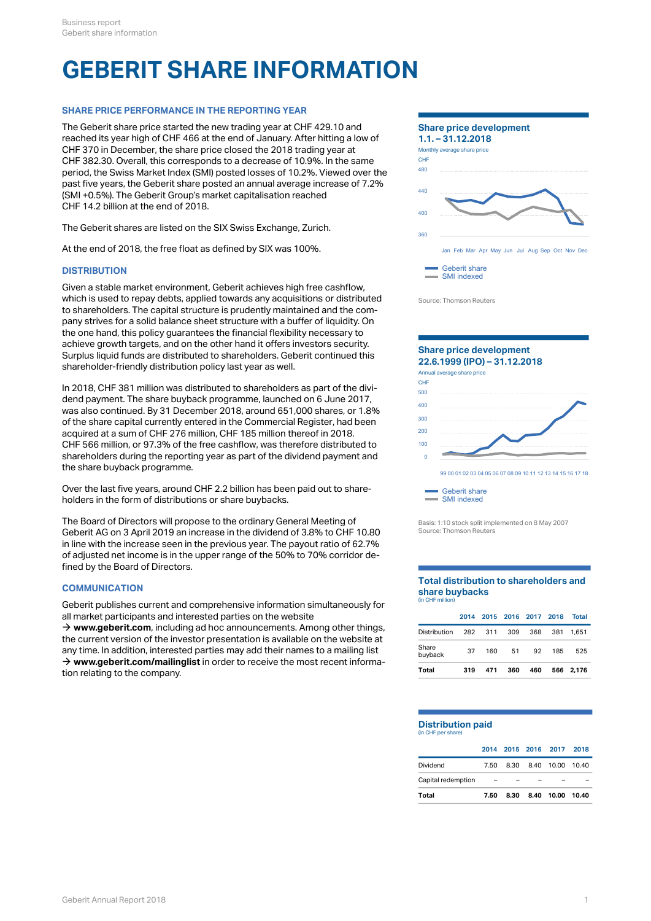# **GEBERIT SHARE INFORMATION**

## **SHARE PRICE PERFORMANCE IN THE REPORTING YEAR**

The Geberit share price started the new trading year at CHF 429.10 and reached its year high of CHF 466 at the end of January. After hitting a low of CHF 370 in December, the share price closed the 2018 trading year at More CHF 370 in December, the same CHF CHF 382.30. Overall, this corresponds to a decrease of 10.9%. In the same period, the Swiss Market Index (SMI) posted losses of 10.2%. Viewed over the past five years, the Geberit share posted an annual average increase of 7.2% (SMI +0.5%). The Geberit Group's market capitalisation reached CHF 14.2 billion at the end of 2018.

The Geberit shares are listed on the SIX Swiss Exchange, Zurich.

At the end of 2018, the free float as defined by SIX was 100%.

## **DISTRIBUTION**

Given a stable market environment, Geberit achieves high free cashflow, which is used to repay debts, applied towards any acquisitions or distributed to shareholders. The capital structure is prudently maintained and the company strives for a solid balance sheet structure with a buffer of liquidity. On the one hand, this policy guarantees the financial flexibility necessary to achieve growth targets, and on the other hand it offers investors security. Surplus liquid funds are distributed to shareholders. Geberit continued this shareholder-friendly distribution policy last year as well.

In 2018, CHF 381 million was distributed to shareholders as part of the dividend payment. The share buyback programme, launched on 6 June 2017, was also continued. By 31 December 2018, around 651,000 shares, or 1.8% of the share capital currently entered in the Commercial Register, had been acquired at a sum of CHF 276 million, CHF 185 million thereof in 2018. CHF 566 million, or 97.3% of the free cashflow, was therefore distributed to shareholders during the reporting year as part of the dividend payment and the share buyback programme.

Over the last five years, around CHF 2.2 billion has been paid out to shareholders in the form of distributions or share buybacks.

The Board of Directors will propose to the ordinary General Meeting of Geberit AG on 3 April 2019 an increase in the dividend of 3.8% to CHF 10.80 in line with the increase seen in the previous year. The payout ratio of 62.7% of adjusted net income is in the upper range of the 50% to 70% corridor defined by the Board of Directors.

## **COMMUNICATION**

Geberit publishes current and comprehensive information simultaneously for all market participants and interested parties on the website

→ [www.geberit.com](http://www.geberit.com/en/index.html), including ad hoc announcements. Among other things, the current version of the investor presentation is available on the website at any time. In addition, interested parties may add their names to a mailing list → [www.geberit.com/mailinglist](http://www.geberit.com/mailinglist) in order to receive the most recent information relating to the company.



Source: Thomson Reuters



Basis: 1:10 stock split implemented on 8 May 2007 Source: Thomson Reuters

#### **Total distribution to shareholders and share buybacks** (in CHF million)

| Total            | 319 | 471 | 360 | 460 |                          | 566 2.176 |
|------------------|-----|-----|-----|-----|--------------------------|-----------|
| Share<br>buyback | 37  | 160 | 51  | 92  | 185                      | 525       |
| Distribution     | 282 | 311 | 309 | 368 |                          | 381 1.651 |
|                  |     |     |     |     | 2014 2015 2016 2017 2018 | Total     |

# **Distribution paid**

(in CHF per share)

| Total              | 7.50                                |  | 8.30 8.40 10.00 10.40      |  |
|--------------------|-------------------------------------|--|----------------------------|--|
| Capital redemption | and the contract of the contract of |  |                            |  |
| Dividend           |                                     |  | 7.50 8.30 8.40 10.00 10.40 |  |
|                    |                                     |  | 2014 2015 2016 2017 2018   |  |